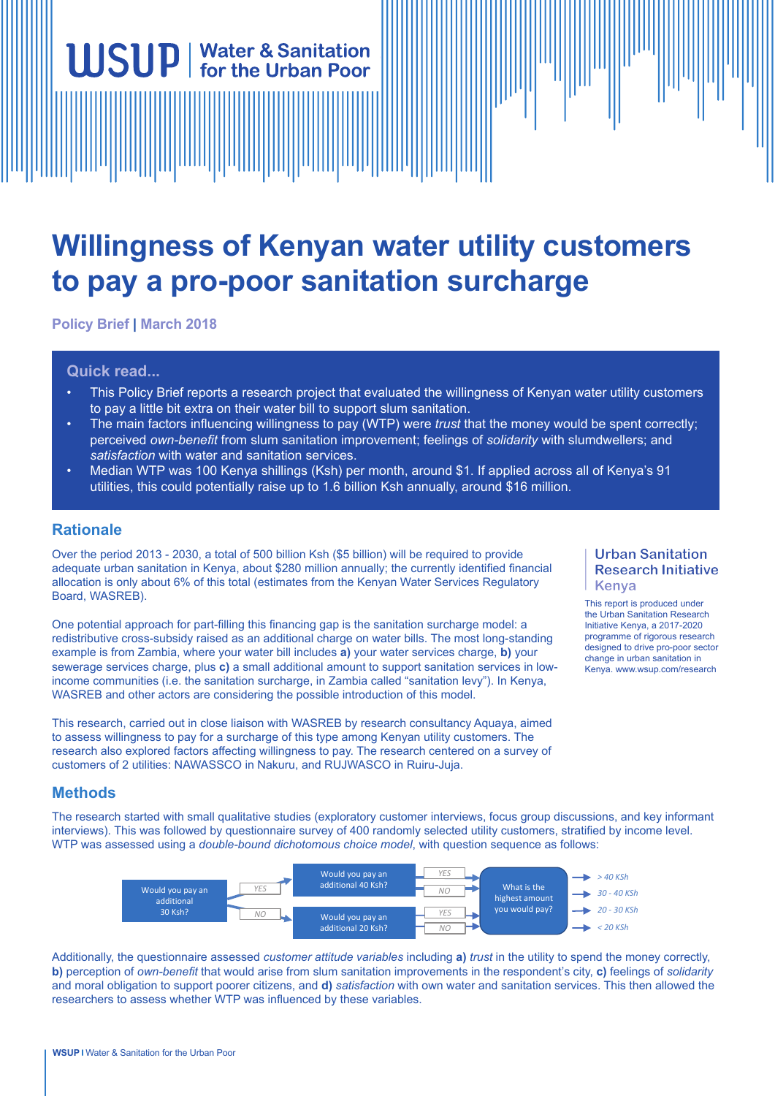# **Willingness of Kenyan water utility customers to pay a pro-poor sanitation surcharge**

**Policy Brief | March 2018**

**USUP** | Water & Sanitation

#### **Quick read...**

- This Policy Brief reports a research project that evaluated the willingness of Kenyan water utility customers to pay a little bit extra on their water bill to support slum sanitation.
- The main factors influencing willingness to pay (WTP) were *trust* that the money would be spent correctly; perceived *own-benefit* from slum sanitation improvement; feelings of *solidarity* with slumdwellers; and *satisfaction* with water and sanitation services.
- Median WTP was 100 Kenya shillings (Ksh) per month, around \$1. If applied across all of Kenya's 91 utilities, this could potentially raise up to 1.6 billion Ksh annually, around \$16 million.

#### **Rationale**

Over the period 2013 - 2030, a total of 500 billion Ksh (\$5 billion) will be required to provide adequate urban sanitation in Kenya, about \$280 million annually; the currently identified financial allocation is only about 6% of this total (estimates from the Kenyan Water Services Regulatory Board, WASREB).

One potential approach for part-filling this financing gap is the sanitation surcharge model: a redistributive cross-subsidy raised as an additional charge on water bills. The most long-standing example is from Zambia, where your water bill includes **a)** your water services charge, **b)** your sewerage services charge, plus **c)** a small additional amount to support sanitation services in lowincome communities (i.e. the sanitation surcharge, in Zambia called "sanitation levy"). In Kenya, WASREB and other actors are considering the possible introduction of this model.

This research, carried out in close liaison with WASREB by research consultancy Aquaya, aimed to assess willingness to pay for a surcharge of this type among Kenyan utility customers. The research also explored factors affecting willingness to pay. The research centered on a survey of customers of 2 utilities: NAWASSCO in Nakuru, and RUJWASCO in Ruiru-Juja.

#### **Urban Sanitation Research Initiative** Kenya

This report is produced under the Urban Sanitation Research Initiative Kenya, a 2017-2020 programme of rigorous research designed to drive pro-poor sector change in urban sanitation in Kenya. www.wsup.com/research

## **Methods**

The research started with small qualitative studies (exploratory customer interviews, focus group discussions, and key informant interviews). This was followed by questionnaire survey of 400 randomly selected utility customers, stratified by income level. WTP was assessed using a *double-bound dichotomous choice model*, with question sequence as follows:



Additionally, the questionnaire assessed *customer attitude variables* including **a)** *trust* in the utility to spend the money correctly, **b)** perception of *own-benefit* that would arise from slum sanitation improvements in the respondent's city, **c)** feelings of *solidarity* and moral obligation to support poorer citizens, and **d)** *satisfaction* with own water and sanitation services. This then allowed the researchers to assess whether WTP was influenced by these variables.